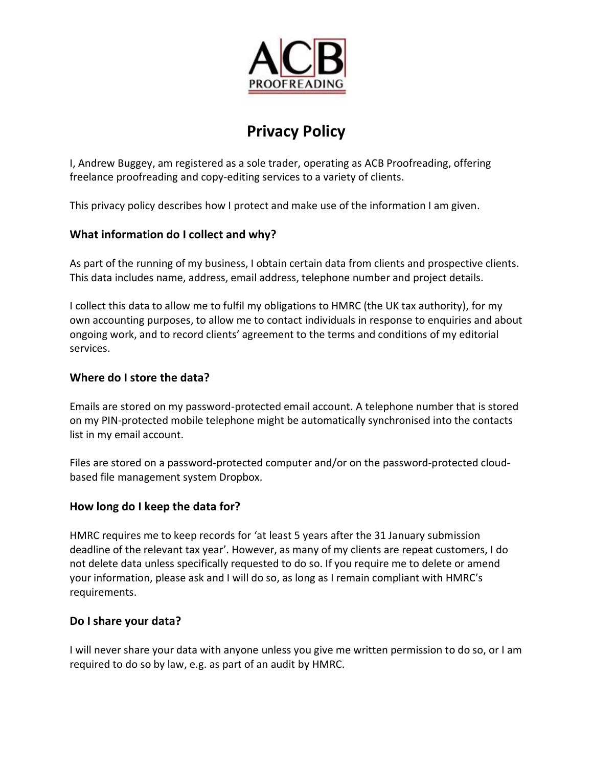

# **Privacy Policy**

I, Andrew Buggey, am registered as a sole trader, operating as ACB Proofreading, offering freelance proofreading and copy-editing services to a variety of clients.

This privacy policy describes how I protect and make use of the information I am given.

## **What information do I collect and why?**

As part of the running of my business, I obtain certain data from clients and prospective clients. This data includes name, address, email address, telephone number and project details.

I collect this data to allow me to fulfil my obligations to HMRC (the UK tax authority), for my own accounting purposes, to allow me to contact individuals in response to enquiries and about ongoing work, and to record clients' agreement to the terms and conditions of my editorial services.

# **Where do I store the data?**

Emails are stored on my password-protected email account. A telephone number that is stored on my PIN-protected mobile telephone might be automatically synchronised into the contacts list in my email account.

Files are stored on a password-protected computer and/or on [the password-protected cloud](https://www.dropbox.com/privacy)[based file management system Dropbox.](https://www.dropbox.com/privacy)

## **How long do I keep the data for?**

HMRC requires me to keep records for 'at least 5 years after the 31 January submission deadline of the relevant tax year'. However, as many of my clients are repeat customers, I do not delete data unless specifically requested to do so. If you require me to delete or amend your information, please ask and I will do so, as long as I remain compliant with HMRC's requirements.

## **Do I share your data?**

I will never share your data with anyone unless you give me written permission to do so, or I am required to do so by law, e.g. as part of an audit by HMRC.